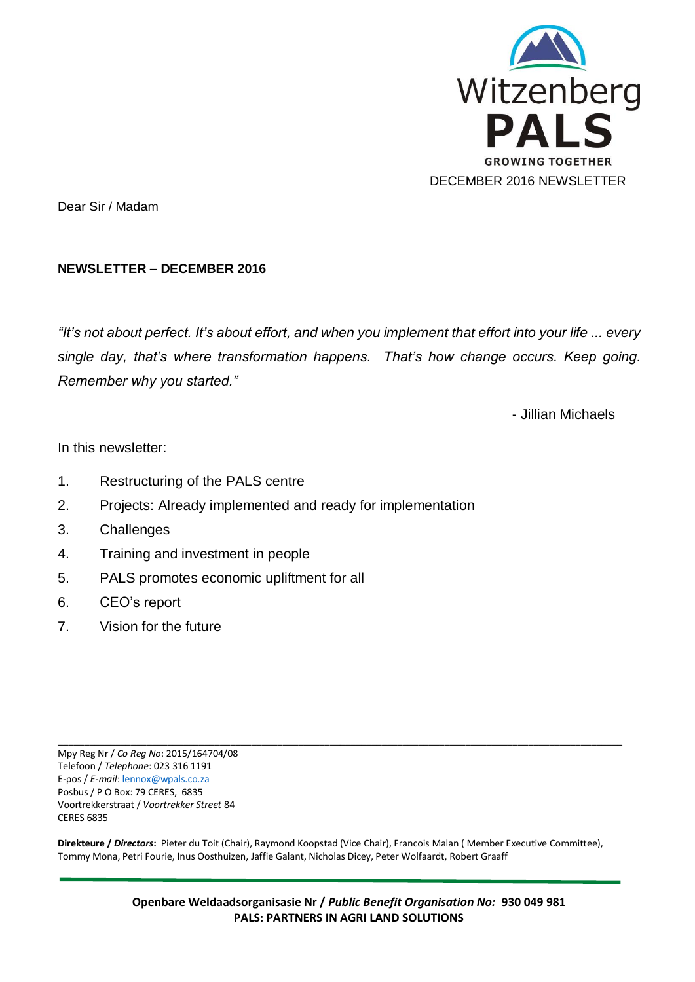

Dear Sir / Madam

#### **NEWSLETTER – DECEMBER 2016**

*"It's not about perfect. It's about effort, and when you implement that effort into your life ... every single day, that's where transformation happens. That's how change occurs. Keep going. Remember why you started."*

- Jillian Michaels

In this newsletter:

- 1. Restructuring of the PALS centre
- 2. Projects: Already implemented and ready for implementation
- 3. Challenges
- 4. Training and investment in people
- 5. PALS promotes economic upliftment for all
- 6. CEO's report
- 7. Vision for the future

\_\_\_\_\_\_\_\_\_\_\_\_\_\_\_\_\_\_\_\_\_\_\_\_\_\_\_\_\_\_\_\_\_\_\_\_\_\_\_\_\_\_\_\_\_\_\_\_\_\_\_\_\_\_\_\_\_\_\_\_\_\_\_\_\_\_\_\_\_\_\_\_\_\_\_\_\_\_\_\_\_\_\_\_\_\_\_\_\_\_\_\_\_\_\_\_\_\_\_\_\_\_\_\_\_\_\_\_ Mpy Reg Nr / *Co Reg No*: 2015/164704/08 Telefoon / *Telephone*: 023 316 1191 E-pos / *E-mail*[: lennox@wpals.co.za](mailto:lennox@wpals.co.za) Posbus / P O Box: 79 CERES, 6835 Voortrekkerstraat / *Voortrekker Street* 84 CERES 6835

**Direkteure /** *Directors***:** Pieter du Toit (Chair), Raymond Koopstad (Vice Chair), Francois Malan ( Member Executive Committee), Tommy Mona, Petri Fourie, Inus Oosthuizen, Jaffie Galant, Nicholas Dicey, Peter Wolfaardt, Robert Graaff

> **Openbare Weldaadsorganisasie Nr /** *Public Benefit Organisation No:* **930 049 981 PALS: PARTNERS IN AGRI LAND SOLUTIONS**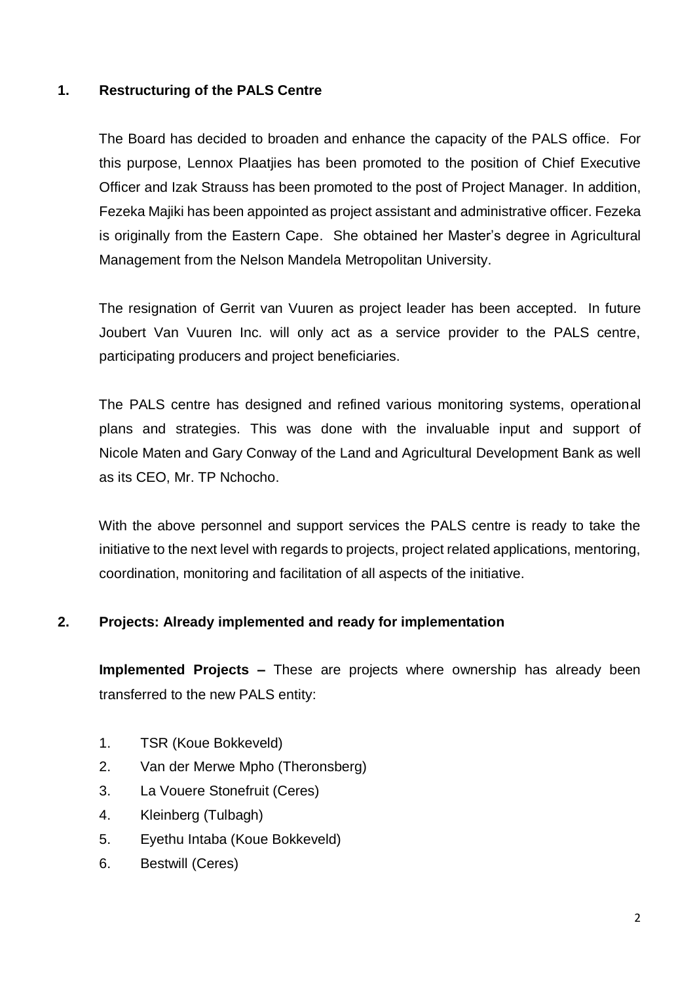## **1. Restructuring of the PALS Centre**

The Board has decided to broaden and enhance the capacity of the PALS office. For this purpose, Lennox Plaatjies has been promoted to the position of Chief Executive Officer and Izak Strauss has been promoted to the post of Project Manager. In addition, Fezeka Majiki has been appointed as project assistant and administrative officer. Fezeka is originally from the Eastern Cape. She obtained her Master's degree in Agricultural Management from the Nelson Mandela Metropolitan University.

The resignation of Gerrit van Vuuren as project leader has been accepted. In future Joubert Van Vuuren Inc. will only act as a service provider to the PALS centre, participating producers and project beneficiaries.

The PALS centre has designed and refined various monitoring systems, operational plans and strategies. This was done with the invaluable input and support of Nicole Maten and Gary Conway of the Land and Agricultural Development Bank as well as its CEO, Mr. TP Nchocho.

With the above personnel and support services the PALS centre is ready to take the initiative to the next level with regards to projects, project related applications, mentoring, coordination, monitoring and facilitation of all aspects of the initiative.

## **2. Projects: Already implemented and ready for implementation**

**Implemented Projects –** These are projects where ownership has already been transferred to the new PALS entity:

- 1. TSR (Koue Bokkeveld)
- 2. Van der Merwe Mpho (Theronsberg)
- 3. La Vouere Stonefruit (Ceres)
- 4. Kleinberg (Tulbagh)
- 5. Eyethu Intaba (Koue Bokkeveld)
- 6. Bestwill (Ceres)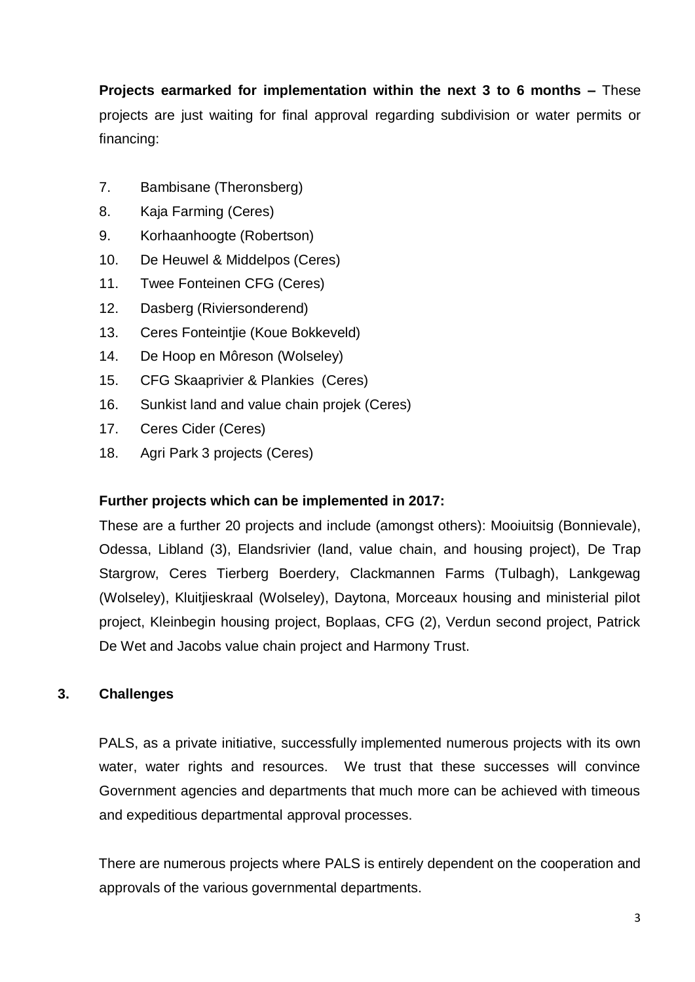**Projects earmarked for implementation within the next 3 to 6 months –** These projects are just waiting for final approval regarding subdivision or water permits or financing:

- 7. Bambisane (Theronsberg)
- 8. Kaja Farming (Ceres)
- 9. Korhaanhoogte (Robertson)
- 10. De Heuwel & Middelpos (Ceres)
- 11. Twee Fonteinen CFG (Ceres)
- 12. Dasberg (Riviersonderend)
- 13. Ceres Fonteintjie (Koue Bokkeveld)
- 14. De Hoop en Môreson (Wolseley)
- 15. CFG Skaaprivier & Plankies (Ceres)
- 16. Sunkist land and value chain projek (Ceres)
- 17. Ceres Cider (Ceres)
- 18. Agri Park 3 projects (Ceres)

## **Further projects which can be implemented in 2017:**

These are a further 20 projects and include (amongst others): Mooiuitsig (Bonnievale), Odessa, Libland (3), Elandsrivier (land, value chain, and housing project), De Trap Stargrow, Ceres Tierberg Boerdery, Clackmannen Farms (Tulbagh), Lankgewag (Wolseley), Kluitjieskraal (Wolseley), Daytona, Morceaux housing and ministerial pilot project, Kleinbegin housing project, Boplaas, CFG (2), Verdun second project, Patrick De Wet and Jacobs value chain project and Harmony Trust.

## **3. Challenges**

PALS, as a private initiative, successfully implemented numerous projects with its own water, water rights and resources. We trust that these successes will convince Government agencies and departments that much more can be achieved with timeous and expeditious departmental approval processes.

There are numerous projects where PALS is entirely dependent on the cooperation and approvals of the various governmental departments.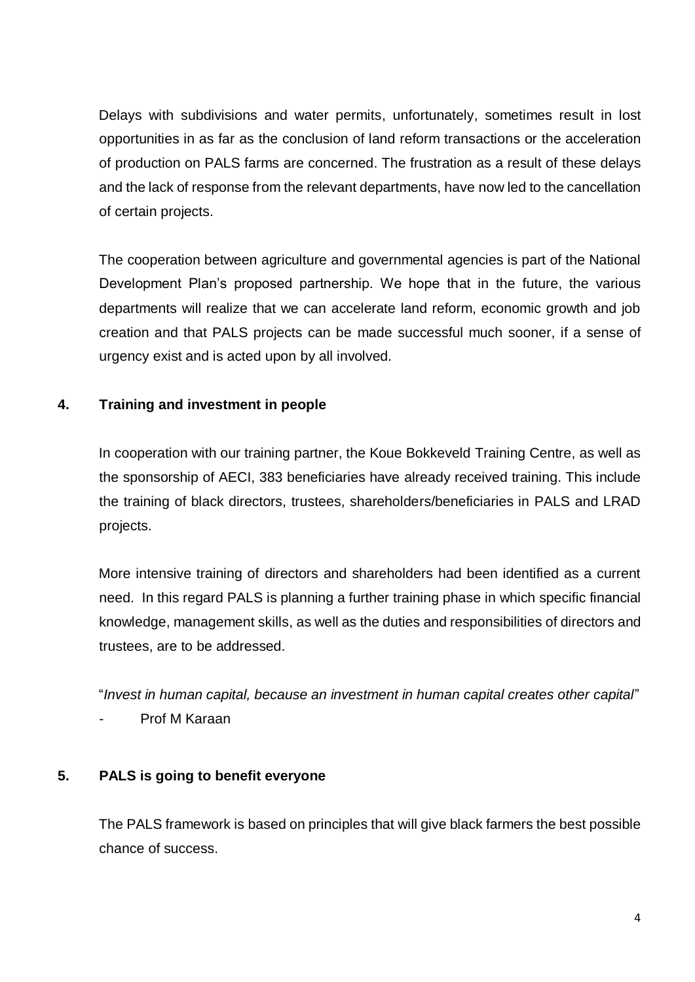Delays with subdivisions and water permits, unfortunately, sometimes result in lost opportunities in as far as the conclusion of land reform transactions or the acceleration of production on PALS farms are concerned. The frustration as a result of these delays and the lack of response from the relevant departments, have now led to the cancellation of certain projects.

The cooperation between agriculture and governmental agencies is part of the National Development Plan's proposed partnership. We hope that in the future, the various departments will realize that we can accelerate land reform, economic growth and job creation and that PALS projects can be made successful much sooner, if a sense of urgency exist and is acted upon by all involved.

# **4. Training and investment in people**

In cooperation with our training partner, the Koue Bokkeveld Training Centre, as well as the sponsorship of AECI, 383 beneficiaries have already received training. This include the training of black directors, trustees, shareholders/beneficiaries in PALS and LRAD projects.

More intensive training of directors and shareholders had been identified as a current need. In this regard PALS is planning a further training phase in which specific financial knowledge, management skills, as well as the duties and responsibilities of directors and trustees, are to be addressed.

"*Invest in human capital, because an investment in human capital creates other capital*"

Prof M Karaan

## **5. PALS is going to benefit everyone**

The PALS framework is based on principles that will give black farmers the best possible chance of success.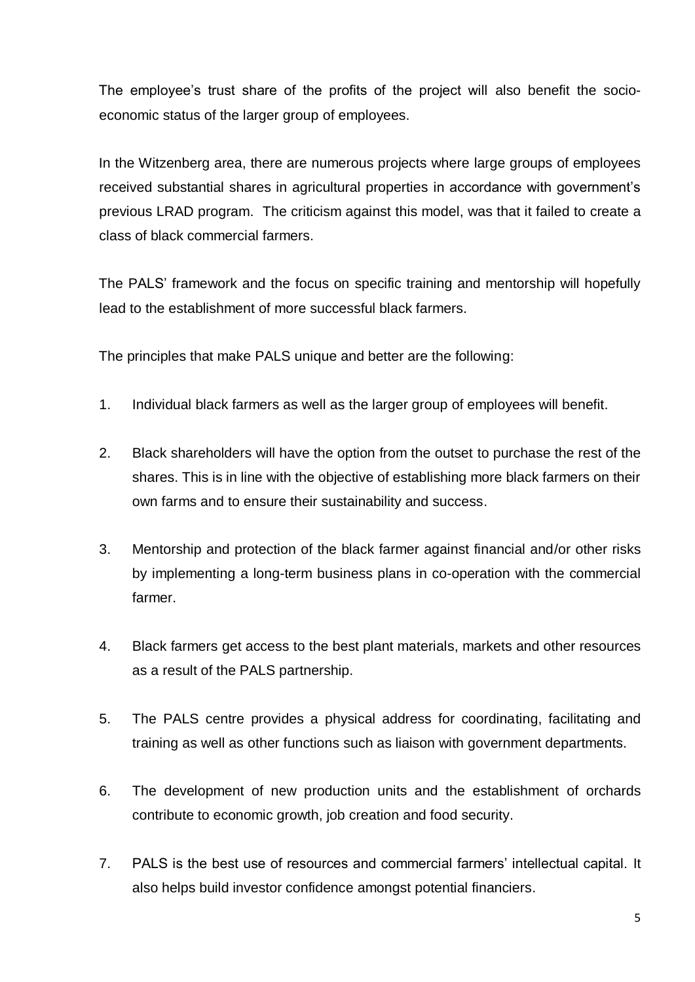The employee's trust share of the profits of the project will also benefit the socioeconomic status of the larger group of employees.

In the Witzenberg area, there are numerous projects where large groups of employees received substantial shares in agricultural properties in accordance with government's previous LRAD program. The criticism against this model, was that it failed to create a class of black commercial farmers.

The PALS' framework and the focus on specific training and mentorship will hopefully lead to the establishment of more successful black farmers.

The principles that make PALS unique and better are the following:

- 1. Individual black farmers as well as the larger group of employees will benefit.
- 2. Black shareholders will have the option from the outset to purchase the rest of the shares. This is in line with the objective of establishing more black farmers on their own farms and to ensure their sustainability and success.
- 3. Mentorship and protection of the black farmer against financial and/or other risks by implementing a long-term business plans in co-operation with the commercial farmer.
- 4. Black farmers get access to the best plant materials, markets and other resources as a result of the PALS partnership.
- 5. The PALS centre provides a physical address for coordinating, facilitating and training as well as other functions such as liaison with government departments.
- 6. The development of new production units and the establishment of orchards contribute to economic growth, job creation and food security.
- 7. PALS is the best use of resources and commercial farmers' intellectual capital. It also helps build investor confidence amongst potential financiers.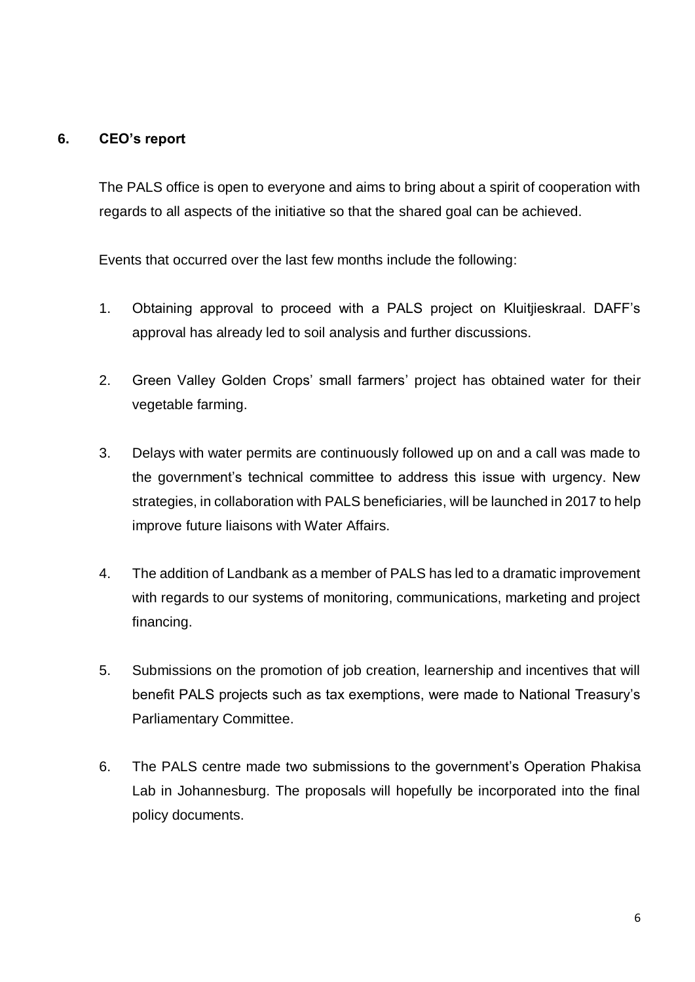#### **6. CEO's report**

The PALS office is open to everyone and aims to bring about a spirit of cooperation with regards to all aspects of the initiative so that the shared goal can be achieved.

Events that occurred over the last few months include the following:

- 1. Obtaining approval to proceed with a PALS project on Kluitjieskraal. DAFF's approval has already led to soil analysis and further discussions.
- 2. Green Valley Golden Crops' small farmers' project has obtained water for their vegetable farming.
- 3. Delays with water permits are continuously followed up on and a call was made to the government's technical committee to address this issue with urgency. New strategies, in collaboration with PALS beneficiaries, will be launched in 2017 to help improve future liaisons with Water Affairs.
- 4. The addition of Landbank as a member of PALS has led to a dramatic improvement with regards to our systems of monitoring, communications, marketing and project financing.
- 5. Submissions on the promotion of job creation, learnership and incentives that will benefit PALS projects such as tax exemptions, were made to National Treasury's Parliamentary Committee.
- 6. The PALS centre made two submissions to the government's Operation Phakisa Lab in Johannesburg. The proposals will hopefully be incorporated into the final policy documents.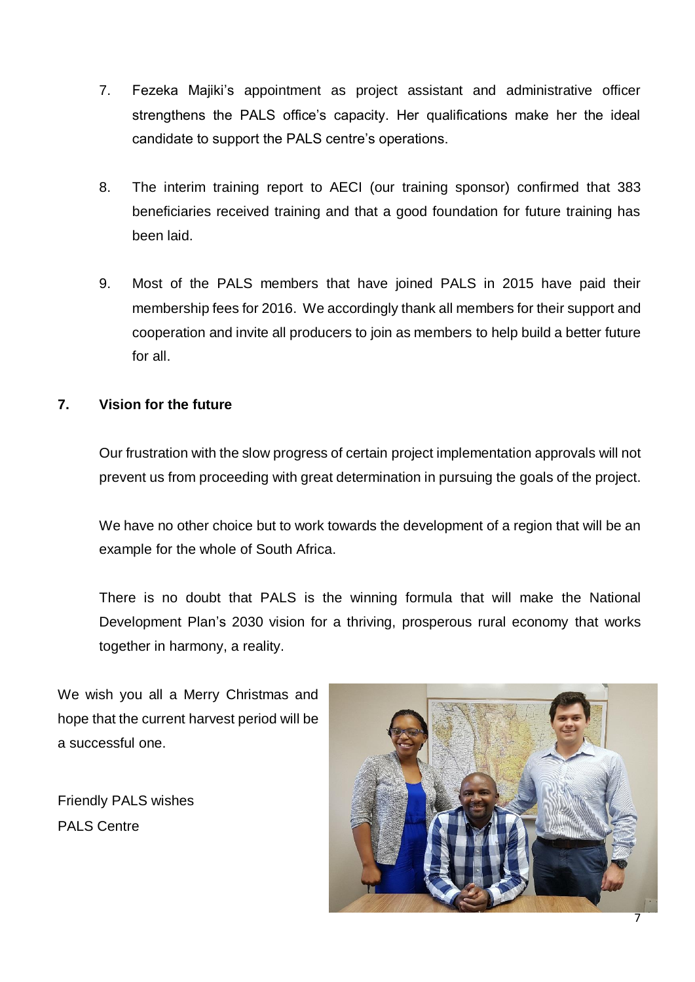- 7. Fezeka Majiki's appointment as project assistant and administrative officer strengthens the PALS office's capacity. Her qualifications make her the ideal candidate to support the PALS centre's operations.
- 8. The interim training report to AECI (our training sponsor) confirmed that 383 beneficiaries received training and that a good foundation for future training has been laid.
- 9. Most of the PALS members that have joined PALS in 2015 have paid their membership fees for 2016. We accordingly thank all members for their support and cooperation and invite all producers to join as members to help build a better future for all.

# **7. Vision for the future**

Our frustration with the slow progress of certain project implementation approvals will not prevent us from proceeding with great determination in pursuing the goals of the project.

We have no other choice but to work towards the development of a region that will be an example for the whole of South Africa.

There is no doubt that PALS is the winning formula that will make the National Development Plan's 2030 vision for a thriving, prosperous rural economy that works together in harmony, a reality.

We wish you all a Merry Christmas and hope that the current harvest period will be a successful one.

Friendly PALS wishes PALS Centre